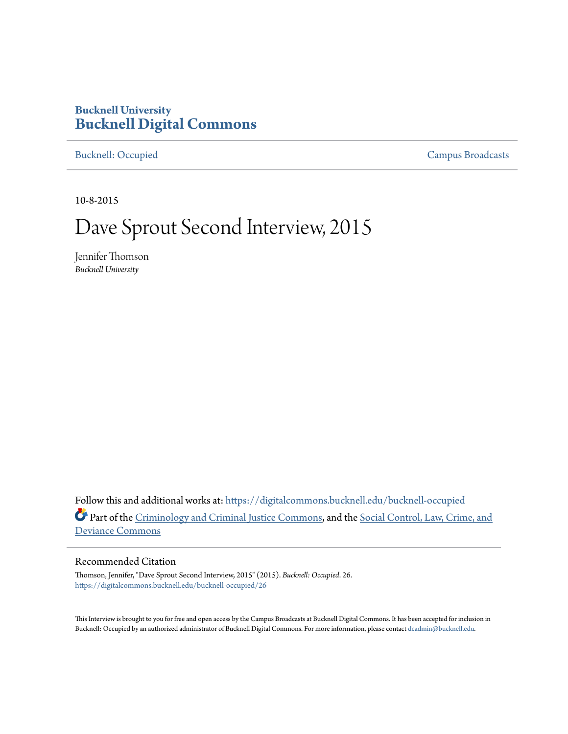## **Bucknell University [Bucknell Digital Commons](https://digitalcommons.bucknell.edu/?utm_source=digitalcommons.bucknell.edu%2Fbucknell-occupied%2F26&utm_medium=PDF&utm_campaign=PDFCoverPages)**

[Bucknell: Occupied](https://digitalcommons.bucknell.edu/bucknell-occupied?utm_source=digitalcommons.bucknell.edu%2Fbucknell-occupied%2F26&utm_medium=PDF&utm_campaign=PDFCoverPages) [Campus Broadcasts](https://digitalcommons.bucknell.edu/campus-broadcasts?utm_source=digitalcommons.bucknell.edu%2Fbucknell-occupied%2F26&utm_medium=PDF&utm_campaign=PDFCoverPages)

10-8-2015

## Dave Sprout Second Interview, 2015

Jennifer Thomson *Bucknell University*

Follow this and additional works at: [https://digitalcommons.bucknell.edu/bucknell-occupied](https://digitalcommons.bucknell.edu/bucknell-occupied?utm_source=digitalcommons.bucknell.edu%2Fbucknell-occupied%2F26&utm_medium=PDF&utm_campaign=PDFCoverPages) Part of the [Criminology and Criminal Justice Commons](http://network.bepress.com/hgg/discipline/367?utm_source=digitalcommons.bucknell.edu%2Fbucknell-occupied%2F26&utm_medium=PDF&utm_campaign=PDFCoverPages), and the [Social Control, Law, Crime, and](http://network.bepress.com/hgg/discipline/429?utm_source=digitalcommons.bucknell.edu%2Fbucknell-occupied%2F26&utm_medium=PDF&utm_campaign=PDFCoverPages) [Deviance Commons](http://network.bepress.com/hgg/discipline/429?utm_source=digitalcommons.bucknell.edu%2Fbucknell-occupied%2F26&utm_medium=PDF&utm_campaign=PDFCoverPages)

## Recommended Citation

Thomson, Jennifer, "Dave Sprout Second Interview, 2015" (2015). *Bucknell: Occupied*. 26. [https://digitalcommons.bucknell.edu/bucknell-occupied/26](https://digitalcommons.bucknell.edu/bucknell-occupied/26?utm_source=digitalcommons.bucknell.edu%2Fbucknell-occupied%2F26&utm_medium=PDF&utm_campaign=PDFCoverPages)

This Interview is brought to you for free and open access by the Campus Broadcasts at Bucknell Digital Commons. It has been accepted for inclusion in Bucknell: Occupied by an authorized administrator of Bucknell Digital Commons. For more information, please contact [dcadmin@bucknell.edu](mailto:dcadmin@bucknell.edu).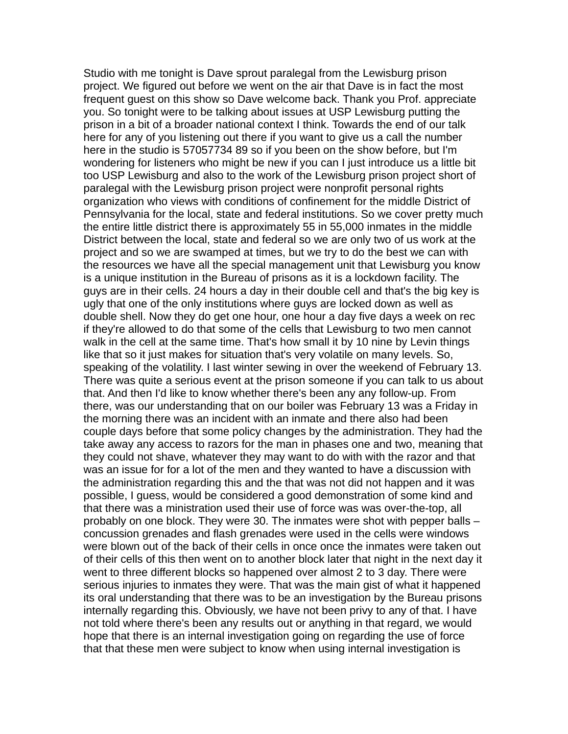Studio with me tonight is Dave sprout paralegal from the Lewisburg prison project. We figured out before we went on the air that Dave is in fact the most frequent guest on this show so Dave welcome back. Thank you Prof. appreciate you. So tonight were to be talking about issues at USP Lewisburg putting the prison in a bit of a broader national context I think. Towards the end of our talk here for any of you listening out there if you want to give us a call the number here in the studio is 57057734 89 so if you been on the show before, but I'm wondering for listeners who might be new if you can I just introduce us a little bit too USP Lewisburg and also to the work of the Lewisburg prison project short of paralegal with the Lewisburg prison project were nonprofit personal rights organization who views with conditions of confinement for the middle District of Pennsylvania for the local, state and federal institutions. So we cover pretty much the entire little district there is approximately 55 in 55,000 inmates in the middle District between the local, state and federal so we are only two of us work at the project and so we are swamped at times, but we try to do the best we can with the resources we have all the special management unit that Lewisburg you know is a unique institution in the Bureau of prisons as it is a lockdown facility. The guys are in their cells. 24 hours a day in their double cell and that's the big key is ugly that one of the only institutions where guys are locked down as well as double shell. Now they do get one hour, one hour a day five days a week on rec if they're allowed to do that some of the cells that Lewisburg to two men cannot walk in the cell at the same time. That's how small it by 10 nine by Levin things like that so it just makes for situation that's very volatile on many levels. So, speaking of the volatility. I last winter sewing in over the weekend of February 13. There was quite a serious event at the prison someone if you can talk to us about that. And then I'd like to know whether there's been any any follow-up. From there, was our understanding that on our boiler was February 13 was a Friday in the morning there was an incident with an inmate and there also had been couple days before that some policy changes by the administration. They had the take away any access to razors for the man in phases one and two, meaning that they could not shave, whatever they may want to do with with the razor and that was an issue for for a lot of the men and they wanted to have a discussion with the administration regarding this and the that was not did not happen and it was possible, I guess, would be considered a good demonstration of some kind and that there was a ministration used their use of force was was over-the-top, all probably on one block. They were 30. The inmates were shot with pepper balls – concussion grenades and flash grenades were used in the cells were windows were blown out of the back of their cells in once once the inmates were taken out of their cells of this then went on to another block later that night in the next day it went to three different blocks so happened over almost 2 to 3 day. There were serious injuries to inmates they were. That was the main gist of what it happened its oral understanding that there was to be an investigation by the Bureau prisons internally regarding this. Obviously, we have not been privy to any of that. I have not told where there's been any results out or anything in that regard, we would hope that there is an internal investigation going on regarding the use of force that that these men were subject to know when using internal investigation is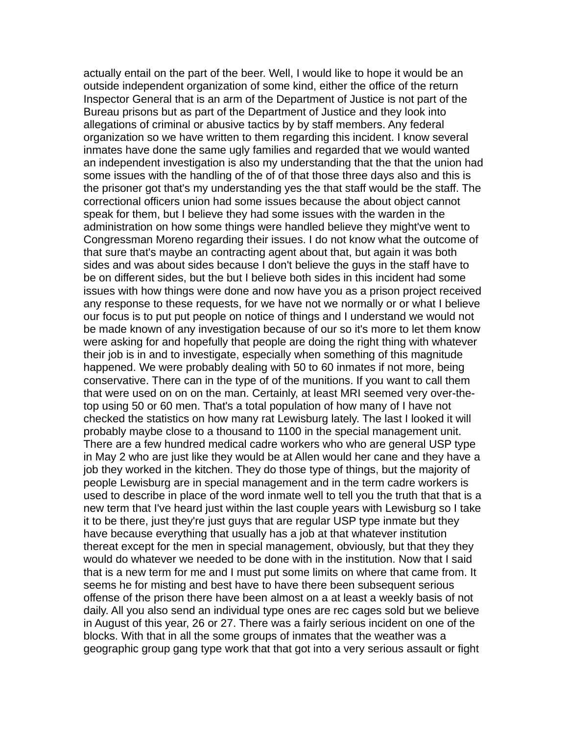actually entail on the part of the beer. Well, I would like to hope it would be an outside independent organization of some kind, either the office of the return Inspector General that is an arm of the Department of Justice is not part of the Bureau prisons but as part of the Department of Justice and they look into allegations of criminal or abusive tactics by by staff members. Any federal organization so we have written to them regarding this incident. I know several inmates have done the same ugly families and regarded that we would wanted an independent investigation is also my understanding that the that the union had some issues with the handling of the of of that those three days also and this is the prisoner got that's my understanding yes the that staff would be the staff. The correctional officers union had some issues because the about object cannot speak for them, but I believe they had some issues with the warden in the administration on how some things were handled believe they might've went to Congressman Moreno regarding their issues. I do not know what the outcome of that sure that's maybe an contracting agent about that, but again it was both sides and was about sides because I don't believe the guys in the staff have to be on different sides, but the but I believe both sides in this incident had some issues with how things were done and now have you as a prison project received any response to these requests, for we have not we normally or or what I believe our focus is to put put people on notice of things and I understand we would not be made known of any investigation because of our so it's more to let them know were asking for and hopefully that people are doing the right thing with whatever their job is in and to investigate, especially when something of this magnitude happened. We were probably dealing with 50 to 60 inmates if not more, being conservative. There can in the type of of the munitions. If you want to call them that were used on on on the man. Certainly, at least MRI seemed very over-thetop using 50 or 60 men. That's a total population of how many of I have not checked the statistics on how many rat Lewisburg lately. The last I looked it will probably maybe close to a thousand to 1100 in the special management unit. There are a few hundred medical cadre workers who who are general USP type in May 2 who are just like they would be at Allen would her cane and they have a job they worked in the kitchen. They do those type of things, but the majority of people Lewisburg are in special management and in the term cadre workers is used to describe in place of the word inmate well to tell you the truth that that is a new term that I've heard just within the last couple years with Lewisburg so I take it to be there, just they're just guys that are regular USP type inmate but they have because everything that usually has a job at that whatever institution thereat except for the men in special management, obviously, but that they they would do whatever we needed to be done with in the institution. Now that I said that is a new term for me and I must put some limits on where that came from. It seems he for misting and best have to have there been subsequent serious offense of the prison there have been almost on a at least a weekly basis of not daily. All you also send an individual type ones are rec cages sold but we believe in August of this year, 26 or 27. There was a fairly serious incident on one of the blocks. With that in all the some groups of inmates that the weather was a geographic group gang type work that that got into a very serious assault or fight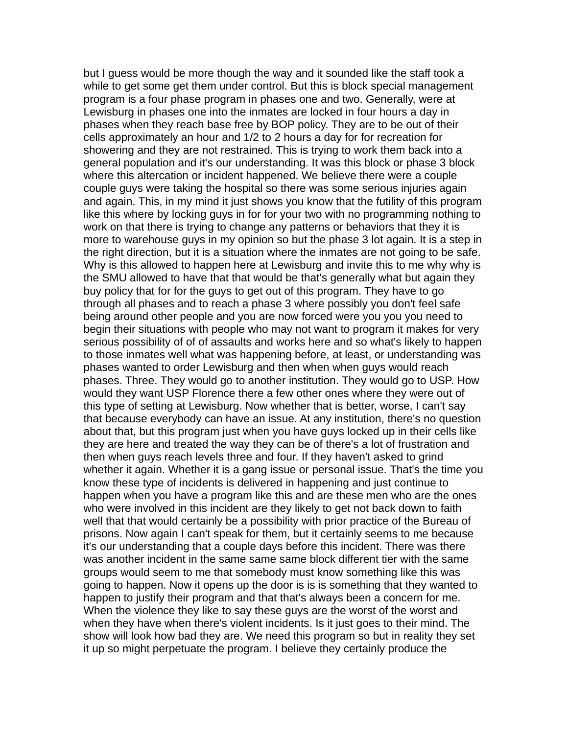but I guess would be more though the way and it sounded like the staff took a while to get some get them under control. But this is block special management program is a four phase program in phases one and two. Generally, were at Lewisburg in phases one into the inmates are locked in four hours a day in phases when they reach base free by BOP policy. They are to be out of their cells approximately an hour and 1/2 to 2 hours a day for for recreation for showering and they are not restrained. This is trying to work them back into a general population and it's our understanding. It was this block or phase 3 block where this altercation or incident happened. We believe there were a couple couple guys were taking the hospital so there was some serious injuries again and again. This, in my mind it just shows you know that the futility of this program like this where by locking guys in for for your two with no programming nothing to work on that there is trying to change any patterns or behaviors that they it is more to warehouse guys in my opinion so but the phase 3 lot again. It is a step in the right direction, but it is a situation where the inmates are not going to be safe. Why is this allowed to happen here at Lewisburg and invite this to me why why is the SMU allowed to have that that would be that's generally what but again they buy policy that for for the guys to get out of this program. They have to go through all phases and to reach a phase 3 where possibly you don't feel safe being around other people and you are now forced were you you you need to begin their situations with people who may not want to program it makes for very serious possibility of of of assaults and works here and so what's likely to happen to those inmates well what was happening before, at least, or understanding was phases wanted to order Lewisburg and then when when guys would reach phases. Three. They would go to another institution. They would go to USP. How would they want USP Florence there a few other ones where they were out of this type of setting at Lewisburg. Now whether that is better, worse, I can't say that because everybody can have an issue. At any institution, there's no question about that, but this program just when you have guys locked up in their cells like they are here and treated the way they can be of there's a lot of frustration and then when guys reach levels three and four. If they haven't asked to grind whether it again. Whether it is a gang issue or personal issue. That's the time you know these type of incidents is delivered in happening and just continue to happen when you have a program like this and are these men who are the ones who were involved in this incident are they likely to get not back down to faith well that that would certainly be a possibility with prior practice of the Bureau of prisons. Now again I can't speak for them, but it certainly seems to me because it's our understanding that a couple days before this incident. There was there was another incident in the same same same block different tier with the same groups would seem to me that somebody must know something like this was going to happen. Now it opens up the door is is is something that they wanted to happen to justify their program and that that's always been a concern for me. When the violence they like to say these guys are the worst of the worst and when they have when there's violent incidents. Is it just goes to their mind. The show will look how bad they are. We need this program so but in reality they set it up so might perpetuate the program. I believe they certainly produce the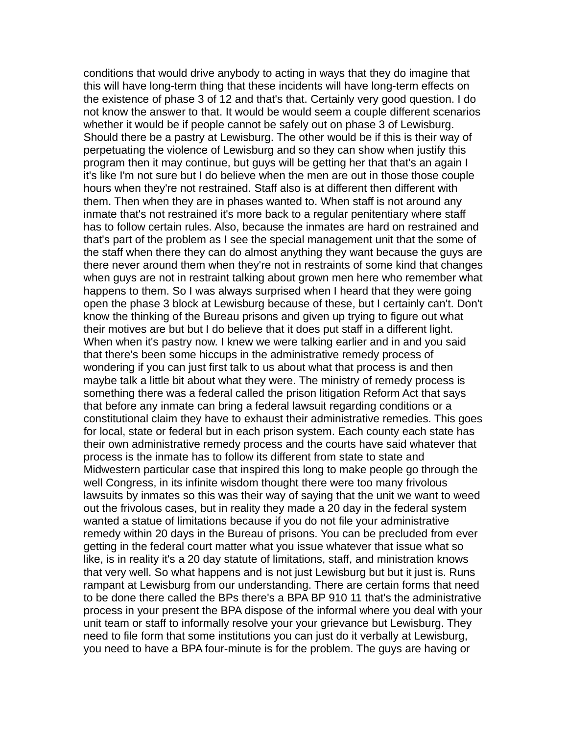conditions that would drive anybody to acting in ways that they do imagine that this will have long-term thing that these incidents will have long-term effects on the existence of phase 3 of 12 and that's that. Certainly very good question. I do not know the answer to that. It would be would seem a couple different scenarios whether it would be if people cannot be safely out on phase 3 of Lewisburg. Should there be a pastry at Lewisburg. The other would be if this is their way of perpetuating the violence of Lewisburg and so they can show when justify this program then it may continue, but guys will be getting her that that's an again I it's like I'm not sure but I do believe when the men are out in those those couple hours when they're not restrained. Staff also is at different then different with them. Then when they are in phases wanted to. When staff is not around any inmate that's not restrained it's more back to a regular penitentiary where staff has to follow certain rules. Also, because the inmates are hard on restrained and that's part of the problem as I see the special management unit that the some of the staff when there they can do almost anything they want because the guys are there never around them when they're not in restraints of some kind that changes when guys are not in restraint talking about grown men here who remember what happens to them. So I was always surprised when I heard that they were going open the phase 3 block at Lewisburg because of these, but I certainly can't. Don't know the thinking of the Bureau prisons and given up trying to figure out what their motives are but but I do believe that it does put staff in a different light. When when it's pastry now. I knew we were talking earlier and in and you said that there's been some hiccups in the administrative remedy process of wondering if you can just first talk to us about what that process is and then maybe talk a little bit about what they were. The ministry of remedy process is something there was a federal called the prison litigation Reform Act that says that before any inmate can bring a federal lawsuit regarding conditions or a constitutional claim they have to exhaust their administrative remedies. This goes for local, state or federal but in each prison system. Each county each state has their own administrative remedy process and the courts have said whatever that process is the inmate has to follow its different from state to state and Midwestern particular case that inspired this long to make people go through the well Congress, in its infinite wisdom thought there were too many frivolous lawsuits by inmates so this was their way of saying that the unit we want to weed out the frivolous cases, but in reality they made a 20 day in the federal system wanted a statue of limitations because if you do not file your administrative remedy within 20 days in the Bureau of prisons. You can be precluded from ever getting in the federal court matter what you issue whatever that issue what so like, is in reality it's a 20 day statute of limitations, staff, and ministration knows that very well. So what happens and is not just Lewisburg but but it just is. Runs rampant at Lewisburg from our understanding. There are certain forms that need to be done there called the BPs there's a BPA BP 910 11 that's the administrative process in your present the BPA dispose of the informal where you deal with your unit team or staff to informally resolve your your grievance but Lewisburg. They need to file form that some institutions you can just do it verbally at Lewisburg, you need to have a BPA four-minute is for the problem. The guys are having or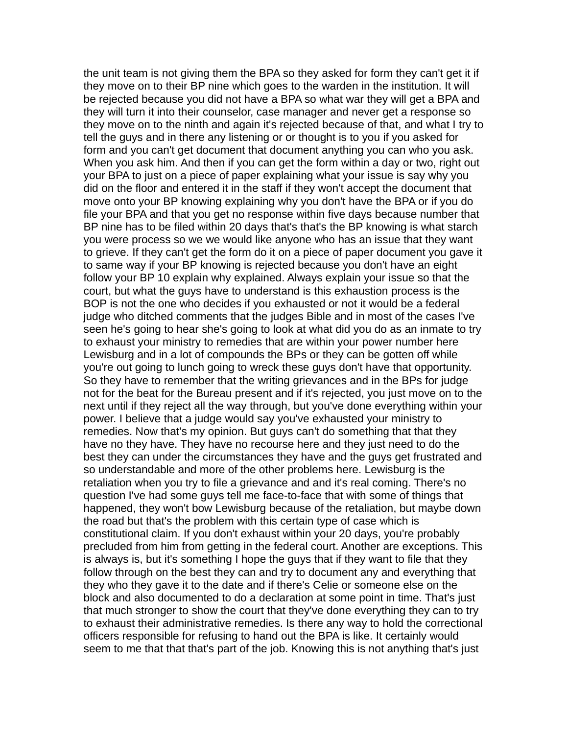the unit team is not giving them the BPA so they asked for form they can't get it if they move on to their BP nine which goes to the warden in the institution. It will be rejected because you did not have a BPA so what war they will get a BPA and they will turn it into their counselor, case manager and never get a response so they move on to the ninth and again it's rejected because of that, and what I try to tell the guys and in there any listening or or thought is to you if you asked for form and you can't get document that document anything you can who you ask. When you ask him. And then if you can get the form within a day or two, right out your BPA to just on a piece of paper explaining what your issue is say why you did on the floor and entered it in the staff if they won't accept the document that move onto your BP knowing explaining why you don't have the BPA or if you do file your BPA and that you get no response within five days because number that BP nine has to be filed within 20 days that's that's the BP knowing is what starch you were process so we we would like anyone who has an issue that they want to grieve. If they can't get the form do it on a piece of paper document you gave it to same way if your BP knowing is rejected because you don't have an eight follow your BP 10 explain why explained. Always explain your issue so that the court, but what the guys have to understand is this exhaustion process is the BOP is not the one who decides if you exhausted or not it would be a federal judge who ditched comments that the judges Bible and in most of the cases I've seen he's going to hear she's going to look at what did you do as an inmate to try to exhaust your ministry to remedies that are within your power number here Lewisburg and in a lot of compounds the BPs or they can be gotten off while you're out going to lunch going to wreck these guys don't have that opportunity. So they have to remember that the writing grievances and in the BPs for judge not for the beat for the Bureau present and if it's rejected, you just move on to the next until if they reject all the way through, but you've done everything within your power. I believe that a judge would say you've exhausted your ministry to remedies. Now that's my opinion. But guys can't do something that that they have no they have. They have no recourse here and they just need to do the best they can under the circumstances they have and the guys get frustrated and so understandable and more of the other problems here. Lewisburg is the retaliation when you try to file a grievance and and it's real coming. There's no question I've had some guys tell me face-to-face that with some of things that happened, they won't bow Lewisburg because of the retaliation, but maybe down the road but that's the problem with this certain type of case which is constitutional claim. If you don't exhaust within your 20 days, you're probably precluded from him from getting in the federal court. Another are exceptions. This is always is, but it's something I hope the guys that if they want to file that they follow through on the best they can and try to document any and everything that they who they gave it to the date and if there's Celie or someone else on the block and also documented to do a declaration at some point in time. That's just that much stronger to show the court that they've done everything they can to try to exhaust their administrative remedies. Is there any way to hold the correctional officers responsible for refusing to hand out the BPA is like. It certainly would seem to me that that that's part of the job. Knowing this is not anything that's just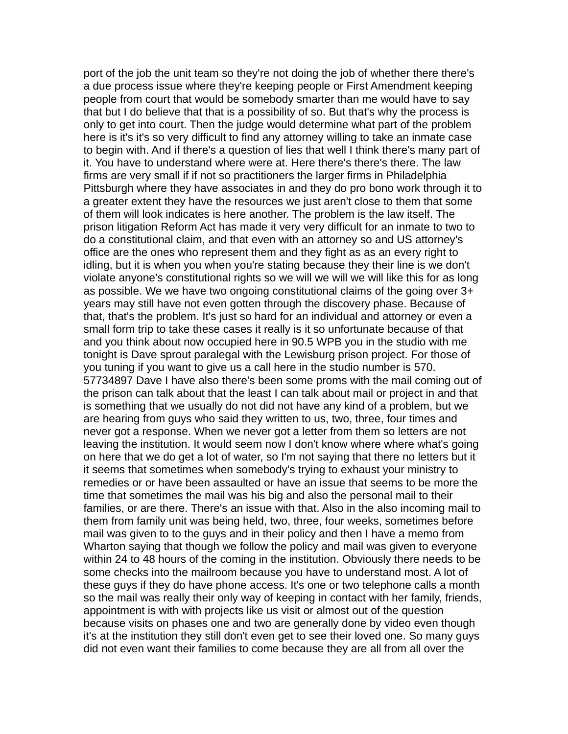port of the job the unit team so they're not doing the job of whether there there's a due process issue where they're keeping people or First Amendment keeping people from court that would be somebody smarter than me would have to say that but I do believe that that is a possibility of so. But that's why the process is only to get into court. Then the judge would determine what part of the problem here is it's it's so very difficult to find any attorney willing to take an inmate case to begin with. And if there's a question of lies that well I think there's many part of it. You have to understand where were at. Here there's there's there. The law firms are very small if if not so practitioners the larger firms in Philadelphia Pittsburgh where they have associates in and they do pro bono work through it to a greater extent they have the resources we just aren't close to them that some of them will look indicates is here another. The problem is the law itself. The prison litigation Reform Act has made it very very difficult for an inmate to two to do a constitutional claim, and that even with an attorney so and US attorney's office are the ones who represent them and they fight as as an every right to idling, but it is when you when you're stating because they their line is we don't violate anyone's constitutional rights so we will we will we will like this for as long as possible. We we have two ongoing constitutional claims of the going over 3+ years may still have not even gotten through the discovery phase. Because of that, that's the problem. It's just so hard for an individual and attorney or even a small form trip to take these cases it really is it so unfortunate because of that and you think about now occupied here in 90.5 WPB you in the studio with me tonight is Dave sprout paralegal with the Lewisburg prison project. For those of you tuning if you want to give us a call here in the studio number is 570. 57734897 Dave I have also there's been some proms with the mail coming out of the prison can talk about that the least I can talk about mail or project in and that is something that we usually do not did not have any kind of a problem, but we are hearing from guys who said they written to us, two, three, four times and never got a response. When we never got a letter from them so letters are not leaving the institution. It would seem now I don't know where where what's going on here that we do get a lot of water, so I'm not saying that there no letters but it it seems that sometimes when somebody's trying to exhaust your ministry to remedies or or have been assaulted or have an issue that seems to be more the time that sometimes the mail was his big and also the personal mail to their families, or are there. There's an issue with that. Also in the also incoming mail to them from family unit was being held, two, three, four weeks, sometimes before mail was given to to the guys and in their policy and then I have a memo from Wharton saying that though we follow the policy and mail was given to everyone within 24 to 48 hours of the coming in the institution. Obviously there needs to be some checks into the mailroom because you have to understand most. A lot of these guys if they do have phone access. It's one or two telephone calls a month so the mail was really their only way of keeping in contact with her family, friends, appointment is with with projects like us visit or almost out of the question because visits on phases one and two are generally done by video even though it's at the institution they still don't even get to see their loved one. So many guys did not even want their families to come because they are all from all over the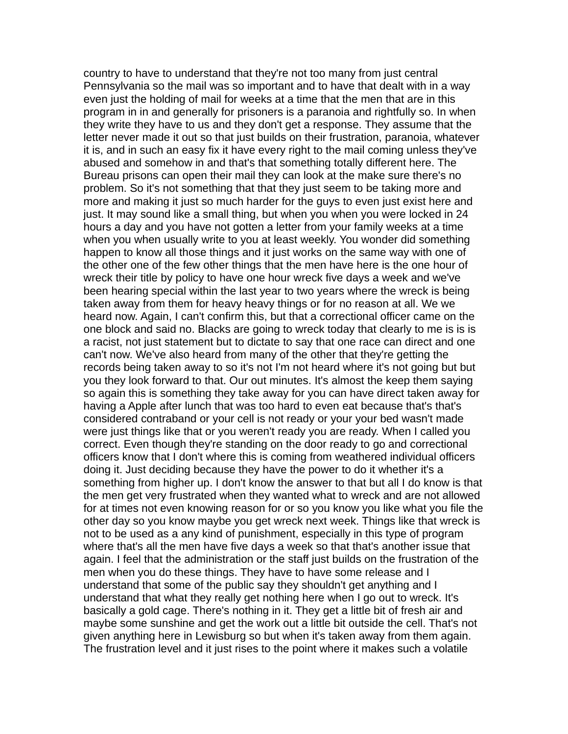country to have to understand that they're not too many from just central Pennsylvania so the mail was so important and to have that dealt with in a way even just the holding of mail for weeks at a time that the men that are in this program in in and generally for prisoners is a paranoia and rightfully so. In when they write they have to us and they don't get a response. They assume that the letter never made it out so that just builds on their frustration, paranoia, whatever it is, and in such an easy fix it have every right to the mail coming unless they've abused and somehow in and that's that something totally different here. The Bureau prisons can open their mail they can look at the make sure there's no problem. So it's not something that that they just seem to be taking more and more and making it just so much harder for the guys to even just exist here and just. It may sound like a small thing, but when you when you were locked in 24 hours a day and you have not gotten a letter from your family weeks at a time when you when usually write to you at least weekly. You wonder did something happen to know all those things and it just works on the same way with one of the other one of the few other things that the men have here is the one hour of wreck their title by policy to have one hour wreck five days a week and we've been hearing special within the last year to two years where the wreck is being taken away from them for heavy heavy things or for no reason at all. We we heard now. Again, I can't confirm this, but that a correctional officer came on the one block and said no. Blacks are going to wreck today that clearly to me is is is a racist, not just statement but to dictate to say that one race can direct and one can't now. We've also heard from many of the other that they're getting the records being taken away to so it's not I'm not heard where it's not going but but you they look forward to that. Our out minutes. It's almost the keep them saying so again this is something they take away for you can have direct taken away for having a Apple after lunch that was too hard to even eat because that's that's considered contraband or your cell is not ready or your your bed wasn't made were just things like that or you weren't ready you are ready. When I called you correct. Even though they're standing on the door ready to go and correctional officers know that I don't where this is coming from weathered individual officers doing it. Just deciding because they have the power to do it whether it's a something from higher up. I don't know the answer to that but all I do know is that the men get very frustrated when they wanted what to wreck and are not allowed for at times not even knowing reason for or so you know you like what you file the other day so you know maybe you get wreck next week. Things like that wreck is not to be used as a any kind of punishment, especially in this type of program where that's all the men have five days a week so that that's another issue that again. I feel that the administration or the staff just builds on the frustration of the men when you do these things. They have to have some release and I understand that some of the public say they shouldn't get anything and I understand that what they really get nothing here when I go out to wreck. It's basically a gold cage. There's nothing in it. They get a little bit of fresh air and maybe some sunshine and get the work out a little bit outside the cell. That's not given anything here in Lewisburg so but when it's taken away from them again. The frustration level and it just rises to the point where it makes such a volatile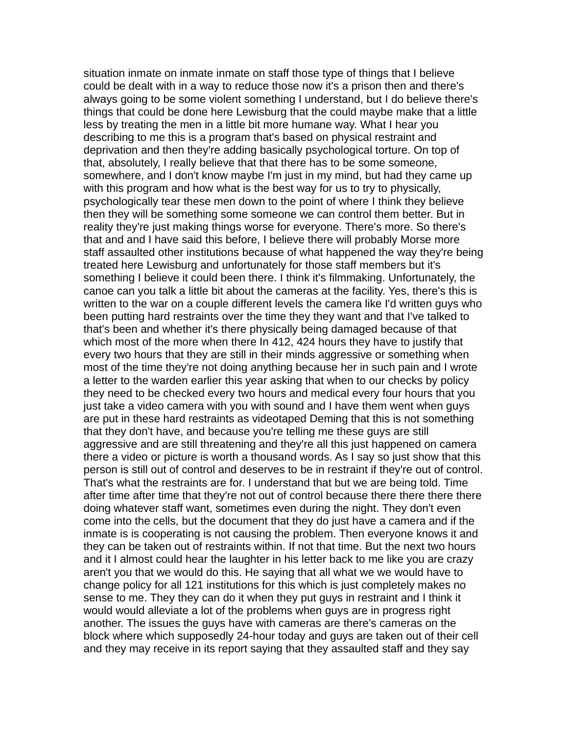situation inmate on inmate inmate on staff those type of things that I believe could be dealt with in a way to reduce those now it's a prison then and there's always going to be some violent something I understand, but I do believe there's things that could be done here Lewisburg that the could maybe make that a little less by treating the men in a little bit more humane way. What I hear you describing to me this is a program that's based on physical restraint and deprivation and then they're adding basically psychological torture. On top of that, absolutely, I really believe that that there has to be some someone, somewhere, and I don't know maybe I'm just in my mind, but had they came up with this program and how what is the best way for us to try to physically, psychologically tear these men down to the point of where I think they believe then they will be something some someone we can control them better. But in reality they're just making things worse for everyone. There's more. So there's that and and I have said this before, I believe there will probably Morse more staff assaulted other institutions because of what happened the way they're being treated here Lewisburg and unfortunately for those staff members but it's something I believe it could been there. I think it's filmmaking. Unfortunately, the canoe can you talk a little bit about the cameras at the facility. Yes, there's this is written to the war on a couple different levels the camera like I'd written guys who been putting hard restraints over the time they they want and that I've talked to that's been and whether it's there physically being damaged because of that which most of the more when there In 412, 424 hours they have to justify that every two hours that they are still in their minds aggressive or something when most of the time they're not doing anything because her in such pain and I wrote a letter to the warden earlier this year asking that when to our checks by policy they need to be checked every two hours and medical every four hours that you just take a video camera with you with sound and I have them went when guys are put in these hard restraints as videotaped Deming that this is not something that they don't have, and because you're telling me these guys are still aggressive and are still threatening and they're all this just happened on camera there a video or picture is worth a thousand words. As I say so just show that this person is still out of control and deserves to be in restraint if they're out of control. That's what the restraints are for. I understand that but we are being told. Time after time after time that they're not out of control because there there there there doing whatever staff want, sometimes even during the night. They don't even come into the cells, but the document that they do just have a camera and if the inmate is is cooperating is not causing the problem. Then everyone knows it and they can be taken out of restraints within. If not that time. But the next two hours and it I almost could hear the laughter in his letter back to me like you are crazy aren't you that we would do this. He saying that all what we we would have to change policy for all 121 institutions for this which is just completely makes no sense to me. They they can do it when they put guys in restraint and I think it would would alleviate a lot of the problems when guys are in progress right another. The issues the guys have with cameras are there's cameras on the block where which supposedly 24-hour today and guys are taken out of their cell and they may receive in its report saying that they assaulted staff and they say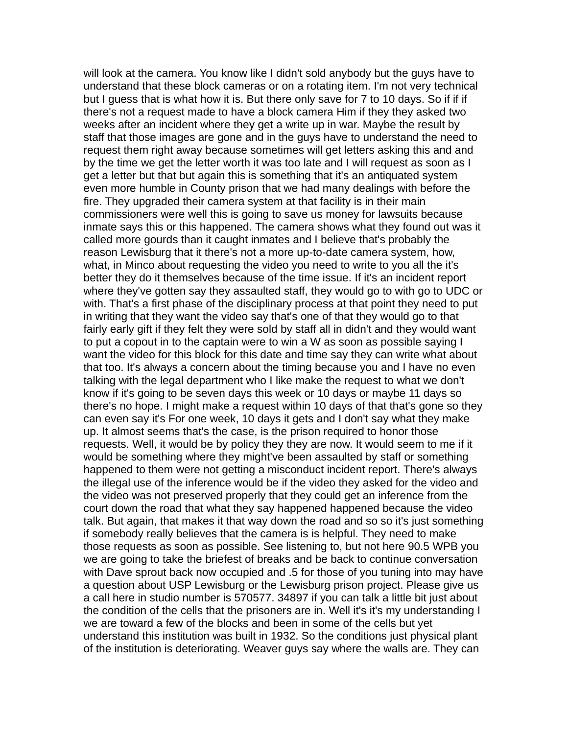will look at the camera. You know like I didn't sold anybody but the guys have to understand that these block cameras or on a rotating item. I'm not very technical but I guess that is what how it is. But there only save for 7 to 10 days. So if if if there's not a request made to have a block camera Him if they they asked two weeks after an incident where they get a write up in war. Maybe the result by staff that those images are gone and in the guys have to understand the need to request them right away because sometimes will get letters asking this and and by the time we get the letter worth it was too late and I will request as soon as I get a letter but that but again this is something that it's an antiquated system even more humble in County prison that we had many dealings with before the fire. They upgraded their camera system at that facility is in their main commissioners were well this is going to save us money for lawsuits because inmate says this or this happened. The camera shows what they found out was it called more gourds than it caught inmates and I believe that's probably the reason Lewisburg that it there's not a more up-to-date camera system, how, what, in Minco about requesting the video you need to write to you all the it's better they do it themselves because of the time issue. If it's an incident report where they've gotten say they assaulted staff, they would go to with go to UDC or with. That's a first phase of the disciplinary process at that point they need to put in writing that they want the video say that's one of that they would go to that fairly early gift if they felt they were sold by staff all in didn't and they would want to put a copout in to the captain were to win a W as soon as possible saying I want the video for this block for this date and time say they can write what about that too. It's always a concern about the timing because you and I have no even talking with the legal department who I like make the request to what we don't know if it's going to be seven days this week or 10 days or maybe 11 days so there's no hope. I might make a request within 10 days of that that's gone so they can even say it's For one week, 10 days it gets and I don't say what they make up. It almost seems that's the case, is the prison required to honor those requests. Well, it would be by policy they they are now. It would seem to me if it would be something where they might've been assaulted by staff or something happened to them were not getting a misconduct incident report. There's always the illegal use of the inference would be if the video they asked for the video and the video was not preserved properly that they could get an inference from the court down the road that what they say happened happened because the video talk. But again, that makes it that way down the road and so so it's just something if somebody really believes that the camera is is helpful. They need to make those requests as soon as possible. See listening to, but not here 90.5 WPB you we are going to take the briefest of breaks and be back to continue conversation with Dave sprout back now occupied and .5 for those of you tuning into may have a question about USP Lewisburg or the Lewisburg prison project. Please give us a call here in studio number is 570577. 34897 if you can talk a little bit just about the condition of the cells that the prisoners are in. Well it's it's my understanding I we are toward a few of the blocks and been in some of the cells but yet understand this institution was built in 1932. So the conditions just physical plant of the institution is deteriorating. Weaver guys say where the walls are. They can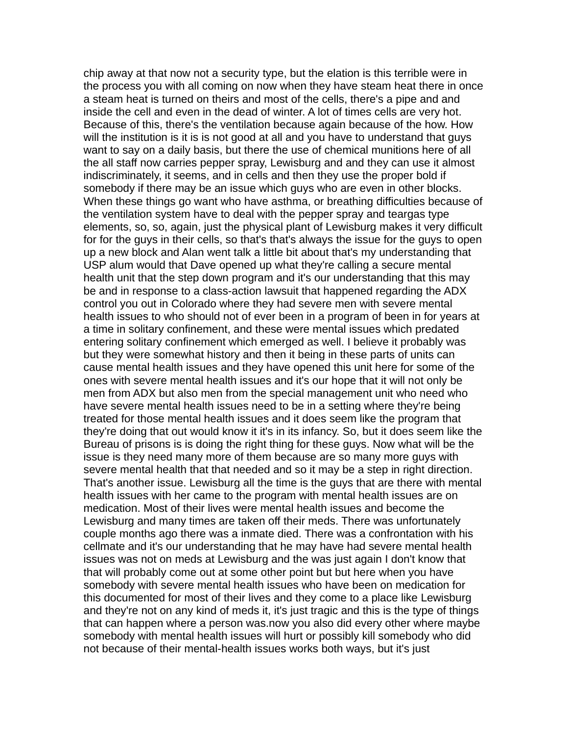chip away at that now not a security type, but the elation is this terrible were in the process you with all coming on now when they have steam heat there in once a steam heat is turned on theirs and most of the cells, there's a pipe and and inside the cell and even in the dead of winter. A lot of times cells are very hot. Because of this, there's the ventilation because again because of the how. How will the institution is it is is not good at all and you have to understand that guys want to say on a daily basis, but there the use of chemical munitions here of all the all staff now carries pepper spray, Lewisburg and and they can use it almost indiscriminately, it seems, and in cells and then they use the proper bold if somebody if there may be an issue which guys who are even in other blocks. When these things go want who have asthma, or breathing difficulties because of the ventilation system have to deal with the pepper spray and teargas type elements, so, so, again, just the physical plant of Lewisburg makes it very difficult for for the guys in their cells, so that's that's always the issue for the guys to open up a new block and Alan went talk a little bit about that's my understanding that USP alum would that Dave opened up what they're calling a secure mental health unit that the step down program and it's our understanding that this may be and in response to a class-action lawsuit that happened regarding the ADX control you out in Colorado where they had severe men with severe mental health issues to who should not of ever been in a program of been in for years at a time in solitary confinement, and these were mental issues which predated entering solitary confinement which emerged as well. I believe it probably was but they were somewhat history and then it being in these parts of units can cause mental health issues and they have opened this unit here for some of the ones with severe mental health issues and it's our hope that it will not only be men from ADX but also men from the special management unit who need who have severe mental health issues need to be in a setting where they're being treated for those mental health issues and it does seem like the program that they're doing that out would know it it's in its infancy. So, but it does seem like the Bureau of prisons is is doing the right thing for these guys. Now what will be the issue is they need many more of them because are so many more guys with severe mental health that that needed and so it may be a step in right direction. That's another issue. Lewisburg all the time is the guys that are there with mental health issues with her came to the program with mental health issues are on medication. Most of their lives were mental health issues and become the Lewisburg and many times are taken off their meds. There was unfortunately couple months ago there was a inmate died. There was a confrontation with his cellmate and it's our understanding that he may have had severe mental health issues was not on meds at Lewisburg and the was just again I don't know that that will probably come out at some other point but but here when you have somebody with severe mental health issues who have been on medication for this documented for most of their lives and they come to a place like Lewisburg and they're not on any kind of meds it, it's just tragic and this is the type of things that can happen where a person was.now you also did every other where maybe somebody with mental health issues will hurt or possibly kill somebody who did not because of their mental-health issues works both ways, but it's just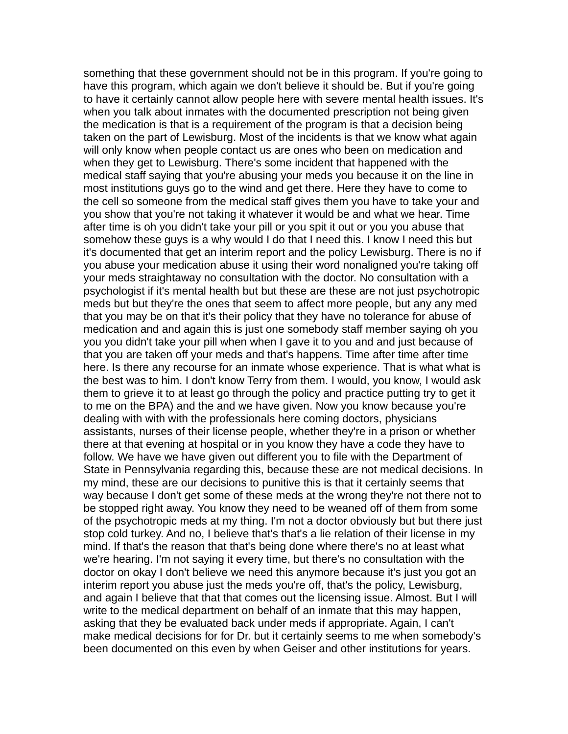something that these government should not be in this program. If you're going to have this program, which again we don't believe it should be. But if you're going to have it certainly cannot allow people here with severe mental health issues. It's when you talk about inmates with the documented prescription not being given the medication is that is a requirement of the program is that a decision being taken on the part of Lewisburg. Most of the incidents is that we know what again will only know when people contact us are ones who been on medication and when they get to Lewisburg. There's some incident that happened with the medical staff saying that you're abusing your meds you because it on the line in most institutions guys go to the wind and get there. Here they have to come to the cell so someone from the medical staff gives them you have to take your and you show that you're not taking it whatever it would be and what we hear. Time after time is oh you didn't take your pill or you spit it out or you you abuse that somehow these guys is a why would I do that I need this. I know I need this but it's documented that get an interim report and the policy Lewisburg. There is no if you abuse your medication abuse it using their word nonaligned you're taking off your meds straightaway no consultation with the doctor. No consultation with a psychologist if it's mental health but but these are these are not just psychotropic meds but but they're the ones that seem to affect more people, but any any med that you may be on that it's their policy that they have no tolerance for abuse of medication and and again this is just one somebody staff member saying oh you you you didn't take your pill when when I gave it to you and and just because of that you are taken off your meds and that's happens. Time after time after time here. Is there any recourse for an inmate whose experience. That is what what is the best was to him. I don't know Terry from them. I would, you know, I would ask them to grieve it to at least go through the policy and practice putting try to get it to me on the BPA) and the and we have given. Now you know because you're dealing with with with the professionals here coming doctors, physicians assistants, nurses of their license people, whether they're in a prison or whether there at that evening at hospital or in you know they have a code they have to follow. We have we have given out different you to file with the Department of State in Pennsylvania regarding this, because these are not medical decisions. In my mind, these are our decisions to punitive this is that it certainly seems that way because I don't get some of these meds at the wrong they're not there not to be stopped right away. You know they need to be weaned off of them from some of the psychotropic meds at my thing. I'm not a doctor obviously but but there just stop cold turkey. And no, I believe that's that's a lie relation of their license in my mind. If that's the reason that that's being done where there's no at least what we're hearing. I'm not saying it every time, but there's no consultation with the doctor on okay I don't believe we need this anymore because it's just you got an interim report you abuse just the meds you're off, that's the policy, Lewisburg, and again I believe that that that comes out the licensing issue. Almost. But I will write to the medical department on behalf of an inmate that this may happen, asking that they be evaluated back under meds if appropriate. Again, I can't make medical decisions for for Dr. but it certainly seems to me when somebody's been documented on this even by when Geiser and other institutions for years.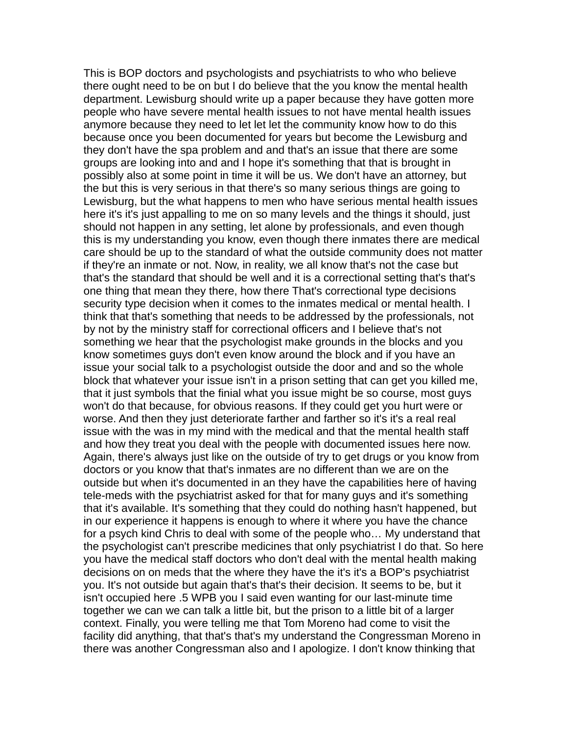This is BOP doctors and psychologists and psychiatrists to who who believe there ought need to be on but I do believe that the you know the mental health department. Lewisburg should write up a paper because they have gotten more people who have severe mental health issues to not have mental health issues anymore because they need to let let let the community know how to do this because once you been documented for years but become the Lewisburg and they don't have the spa problem and and that's an issue that there are some groups are looking into and and I hope it's something that that is brought in possibly also at some point in time it will be us. We don't have an attorney, but the but this is very serious in that there's so many serious things are going to Lewisburg, but the what happens to men who have serious mental health issues here it's it's just appalling to me on so many levels and the things it should, just should not happen in any setting, let alone by professionals, and even though this is my understanding you know, even though there inmates there are medical care should be up to the standard of what the outside community does not matter if they're an inmate or not. Now, in reality, we all know that's not the case but that's the standard that should be well and it is a correctional setting that's that's one thing that mean they there, how there That's correctional type decisions security type decision when it comes to the inmates medical or mental health. I think that that's something that needs to be addressed by the professionals, not by not by the ministry staff for correctional officers and I believe that's not something we hear that the psychologist make grounds in the blocks and you know sometimes guys don't even know around the block and if you have an issue your social talk to a psychologist outside the door and and so the whole block that whatever your issue isn't in a prison setting that can get you killed me, that it just symbols that the finial what you issue might be so course, most guys won't do that because, for obvious reasons. If they could get you hurt were or worse. And then they just deteriorate farther and farther so it's it's a real real issue with the was in my mind with the medical and that the mental health staff and how they treat you deal with the people with documented issues here now. Again, there's always just like on the outside of try to get drugs or you know from doctors or you know that that's inmates are no different than we are on the outside but when it's documented in an they have the capabilities here of having tele-meds with the psychiatrist asked for that for many guys and it's something that it's available. It's something that they could do nothing hasn't happened, but in our experience it happens is enough to where it where you have the chance for a psych kind Chris to deal with some of the people who… My understand that the psychologist can't prescribe medicines that only psychiatrist I do that. So here you have the medical staff doctors who don't deal with the mental health making decisions on on meds that the where they have the it's it's a BOP's psychiatrist you. It's not outside but again that's that's their decision. It seems to be, but it isn't occupied here .5 WPB you I said even wanting for our last-minute time together we can we can talk a little bit, but the prison to a little bit of a larger context. Finally, you were telling me that Tom Moreno had come to visit the facility did anything, that that's that's my understand the Congressman Moreno in there was another Congressman also and I apologize. I don't know thinking that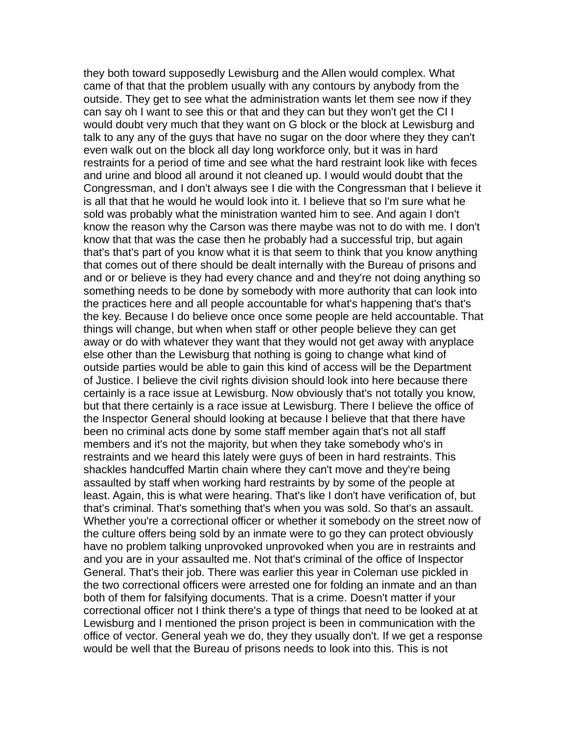they both toward supposedly Lewisburg and the Allen would complex. What came of that that the problem usually with any contours by anybody from the outside. They get to see what the administration wants let them see now if they can say oh I want to see this or that and they can but they won't get the CI I would doubt very much that they want on G block or the block at Lewisburg and talk to any any of the guys that have no sugar on the door where they they can't even walk out on the block all day long workforce only, but it was in hard restraints for a period of time and see what the hard restraint look like with feces and urine and blood all around it not cleaned up. I would would doubt that the Congressman, and I don't always see I die with the Congressman that I believe it is all that that he would he would look into it. I believe that so I'm sure what he sold was probably what the ministration wanted him to see. And again I don't know the reason why the Carson was there maybe was not to do with me. I don't know that that was the case then he probably had a successful trip, but again that's that's part of you know what it is that seem to think that you know anything that comes out of there should be dealt internally with the Bureau of prisons and and or or believe is they had every chance and and they're not doing anything so something needs to be done by somebody with more authority that can look into the practices here and all people accountable for what's happening that's that's the key. Because I do believe once once some people are held accountable. That things will change, but when when staff or other people believe they can get away or do with whatever they want that they would not get away with anyplace else other than the Lewisburg that nothing is going to change what kind of outside parties would be able to gain this kind of access will be the Department of Justice. I believe the civil rights division should look into here because there certainly is a race issue at Lewisburg. Now obviously that's not totally you know, but that there certainly is a race issue at Lewisburg. There I believe the office of the Inspector General should looking at because I believe that that there have been no criminal acts done by some staff member again that's not all staff members and it's not the majority, but when they take somebody who's in restraints and we heard this lately were guys of been in hard restraints. This shackles handcuffed Martin chain where they can't move and they're being assaulted by staff when working hard restraints by by some of the people at least. Again, this is what were hearing. That's like I don't have verification of, but that's criminal. That's something that's when you was sold. So that's an assault. Whether you're a correctional officer or whether it somebody on the street now of the culture offers being sold by an inmate were to go they can protect obviously have no problem talking unprovoked unprovoked when you are in restraints and and you are in your assaulted me. Not that's criminal of the office of Inspector General. That's their job. There was earlier this year in Coleman use pickled in the two correctional officers were arrested one for folding an inmate and an than both of them for falsifying documents. That is a crime. Doesn't matter if your correctional officer not I think there's a type of things that need to be looked at at Lewisburg and I mentioned the prison project is been in communication with the office of vector. General yeah we do, they they usually don't. If we get a response would be well that the Bureau of prisons needs to look into this. This is not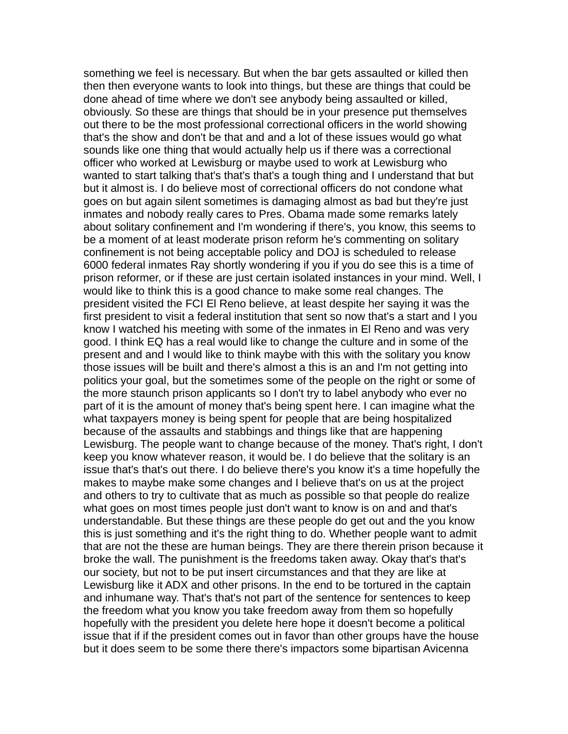something we feel is necessary. But when the bar gets assaulted or killed then then then everyone wants to look into things, but these are things that could be done ahead of time where we don't see anybody being assaulted or killed, obviously. So these are things that should be in your presence put themselves out there to be the most professional correctional officers in the world showing that's the show and don't be that and and a lot of these issues would go what sounds like one thing that would actually help us if there was a correctional officer who worked at Lewisburg or maybe used to work at Lewisburg who wanted to start talking that's that's that's a tough thing and I understand that but but it almost is. I do believe most of correctional officers do not condone what goes on but again silent sometimes is damaging almost as bad but they're just inmates and nobody really cares to Pres. Obama made some remarks lately about solitary confinement and I'm wondering if there's, you know, this seems to be a moment of at least moderate prison reform he's commenting on solitary confinement is not being acceptable policy and DOJ is scheduled to release 6000 federal inmates Ray shortly wondering if you if you do see this is a time of prison reformer, or if these are just certain isolated instances in your mind. Well, I would like to think this is a good chance to make some real changes. The president visited the FCI El Reno believe, at least despite her saying it was the first president to visit a federal institution that sent so now that's a start and I you know I watched his meeting with some of the inmates in El Reno and was very good. I think EQ has a real would like to change the culture and in some of the present and and I would like to think maybe with this with the solitary you know those issues will be built and there's almost a this is an and I'm not getting into politics your goal, but the sometimes some of the people on the right or some of the more staunch prison applicants so I don't try to label anybody who ever no part of it is the amount of money that's being spent here. I can imagine what the what taxpayers money is being spent for people that are being hospitalized because of the assaults and stabbings and things like that are happening Lewisburg. The people want to change because of the money. That's right, I don't keep you know whatever reason, it would be. I do believe that the solitary is an issue that's that's out there. I do believe there's you know it's a time hopefully the makes to maybe make some changes and I believe that's on us at the project and others to try to cultivate that as much as possible so that people do realize what goes on most times people just don't want to know is on and and that's understandable. But these things are these people do get out and the you know this is just something and it's the right thing to do. Whether people want to admit that are not the these are human beings. They are there therein prison because it broke the wall. The punishment is the freedoms taken away. Okay that's that's our society, but not to be put insert circumstances and that they are like at Lewisburg like it ADX and other prisons. In the end to be tortured in the captain and inhumane way. That's that's not part of the sentence for sentences to keep the freedom what you know you take freedom away from them so hopefully hopefully with the president you delete here hope it doesn't become a political issue that if if the president comes out in favor than other groups have the house but it does seem to be some there there's impactors some bipartisan Avicenna